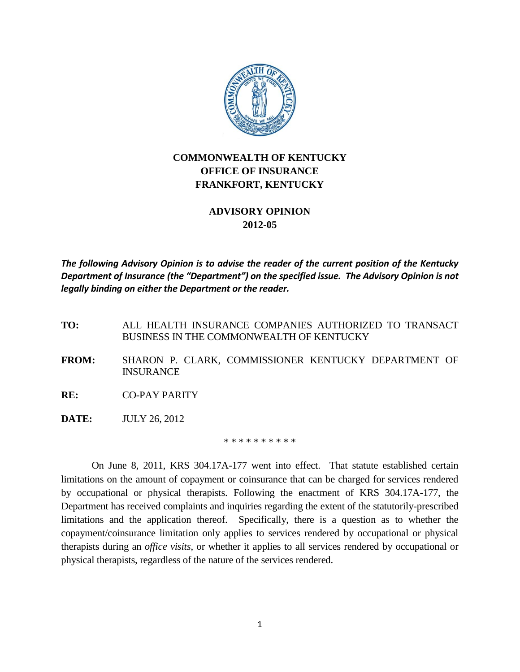

## **COMMONWEALTH OF KENTUCKY OFFICE OF INSURANCE FRANKFORT, KENTUCKY**

## **ADVISORY OPINION 2012-05**

*The following Advisory Opinion is to advise the reader of the current position of the Kentucky Department of Insurance (the "Department") on the specified issue. The Advisory Opinion is not legally binding on either the Department or the reader.*

**TO:** ALL HEALTH INSURANCE COMPANIES AUTHORIZED TO TRANSACT BUSINESS IN THE COMMONWEALTH OF KENTUCKY

- **FROM:** SHARON P. CLARK, COMMISSIONER KENTUCKY DEPARTMENT OF INSURANCE
- **RE:** CO-PAY PARITY
- **DATE:** JULY 26, 2012

\* \* \* \* \* \* \* \* \*

On June 8, 2011, KRS 304.17A-177 went into effect. That statute established certain limitations on the amount of copayment or coinsurance that can be charged for services rendered by occupational or physical therapists. Following the enactment of KRS 304.17A-177, the Department has received complaints and inquiries regarding the extent of the statutorily-prescribed limitations and the application thereof. Specifically, there is a question as to whether the copayment/coinsurance limitation only applies to services rendered by occupational or physical therapists during an *office visits*, or whether it applies to all services rendered by occupational or physical therapists, regardless of the nature of the services rendered.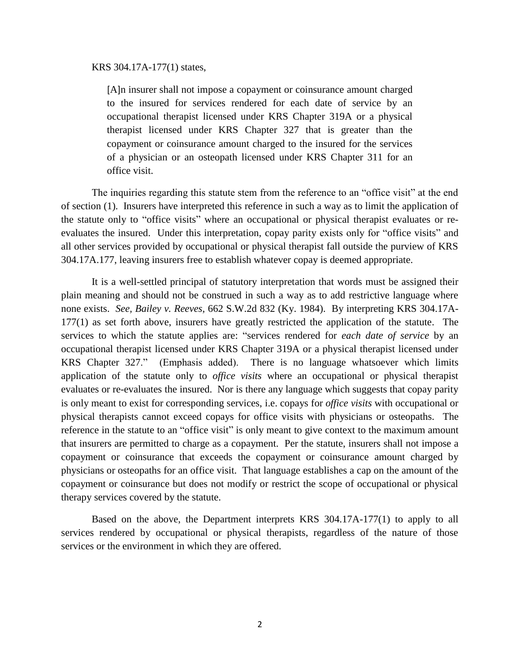## KRS 304.17A-177(1) states,

[A]n insurer shall not impose a copayment or coinsurance amount charged to the insured for services rendered for each date of service by an occupational therapist licensed under KRS Chapter 319A or a physical therapist licensed under KRS Chapter 327 that is greater than the copayment or coinsurance amount charged to the insured for the services of a physician or an osteopath licensed under KRS Chapter 311 for an office visit.

The inquiries regarding this statute stem from the reference to an "office visit" at the end of section (1). Insurers have interpreted this reference in such a way as to limit the application of the statute only to "office visits" where an occupational or physical therapist evaluates or reevaluates the insured. Under this interpretation, copay parity exists only for "office visits" and all other services provided by occupational or physical therapist fall outside the purview of KRS 304.17A.177, leaving insurers free to establish whatever copay is deemed appropriate.

It is a well-settled principal of statutory interpretation that words must be assigned their plain meaning and should not be construed in such a way as to add restrictive language where none exists. *See, [Bailey v. Reeves,](http://web2.westlaw.com/find/default.wl?rs=WLW12.04&pbc=1A73210A&vr=2.0&findtype=Y&rp=%2ffind%2fdefault.wl&sv=Split&fn=_top&tf=-1&ordoc=361K188&mt=Westlaw&serialnum=1984103628&tc=-1)* 662 S.W.2d 832 (Ky. 1984). By interpreting KRS 304.17A-177(1) as set forth above, insurers have greatly restricted the application of the statute. The services to which the statute applies are: "services rendered for *each date of service* by an occupational therapist licensed under KRS Chapter 319A or a physical therapist licensed under KRS Chapter 327." (Emphasis added). There is no language whatsoever which limits application of the statute only to *office visits* where an occupational or physical therapist evaluates or re-evaluates the insured. Nor is there any language which suggests that copay parity is only meant to exist for corresponding services, i.e. copays for *office visits* with occupational or physical therapists cannot exceed copays for office visits with physicians or osteopaths. The reference in the statute to an "office visit" is only meant to give context to the maximum amount that insurers are permitted to charge as a copayment. Per the statute, insurers shall not impose a copayment or coinsurance that exceeds the copayment or coinsurance amount charged by physicians or osteopaths for an office visit. That language establishes a cap on the amount of the copayment or coinsurance but does not modify or restrict the scope of occupational or physical therapy services covered by the statute.

Based on the above, the Department interprets KRS 304.17A-177(1) to apply to all services rendered by occupational or physical therapists, regardless of the nature of those services or the environment in which they are offered.